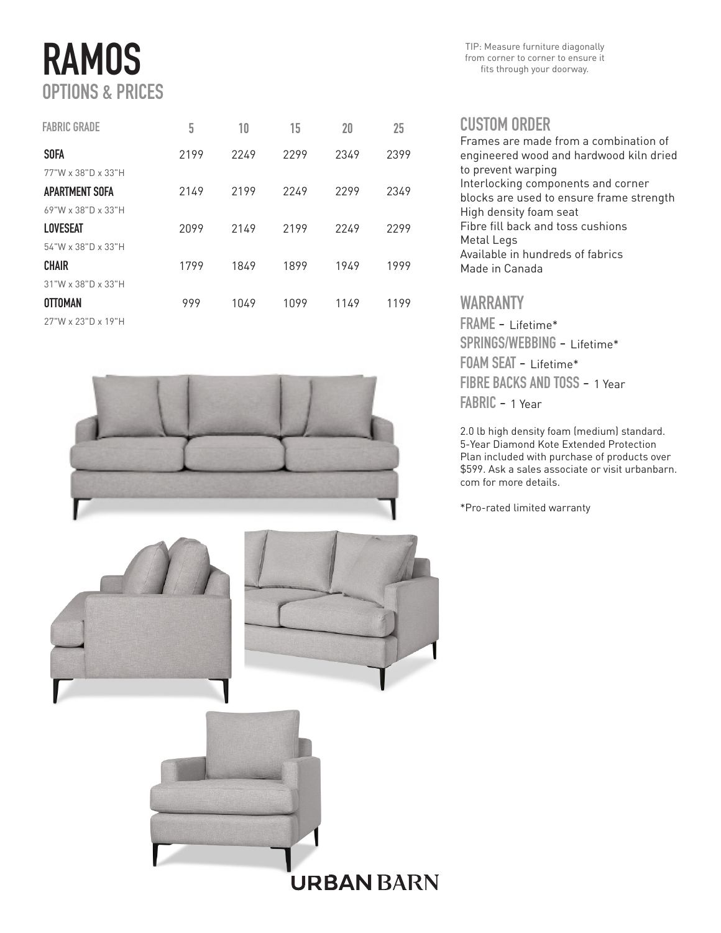# RAMOS OPTIONS & PRICES

| <b>FABRIC GRADE</b>         | 5    | 10   | 15   | 20   | 25   |
|-----------------------------|------|------|------|------|------|
| <b>SOFA</b>                 | 2199 | 2249 | 2299 | 2349 | 2399 |
| 77"W x 38"D x 33"H          |      |      |      |      |      |
| APARTMENT SOFA              | 2149 | 2199 | 2249 | 2299 | 2349 |
| $69"$ W x 38"D x 33"H       |      |      |      |      |      |
| <b>LOVESEAT</b>             | 2099 | 2149 | 2199 | 2249 | 2299 |
| $54$ "W x 38"D x 33"H       |      |      |      |      |      |
| <b>CHAIR</b>                | 1799 | 1849 | 1899 | 1949 | 1999 |
| $31"$ W x $38"$ D x $33"$ H |      |      |      |      |      |
| <b>OTTOMAN</b>              | 999  | 1049 | 1099 | 1149 | 1199 |
| 27"W x 23"D x 19"H          |      |      |      |      |      |



**URBAN BARN** 

TIP: Measure furniture diagonally from corner to corner to ensure it fits through your doorway.

#### CUSTOM ORDER

| Erames are made from a combination of    |
|------------------------------------------|
| engineered wood and hardwood kiln dried  |
| to prevent warping                       |
| Interlocking components and corner       |
| blocks are used to ensure frame strength |
| High density foam seat                   |
| Fibre fill back and toss cushions        |
| Metal Legs                               |
| Available in hundreds of fabrics         |
| Made in Canada                           |
|                                          |

### WARRANTY

FRAME - Lifetime\* SPRINGS/WEBBING - Lifetime\* FOAM SEAT - Lifetime\* FIBRE BACKS AND TOSS - 1 Year FABRIC - 1 Year

2.0 lb high density foam (medium) standard. 5-Year Diamond Kote Extended Protection Plan included with purchase of products over \$599. Ask a sales associate or visit urbanbarn. com for more details.

\*Pro-rated limited warranty